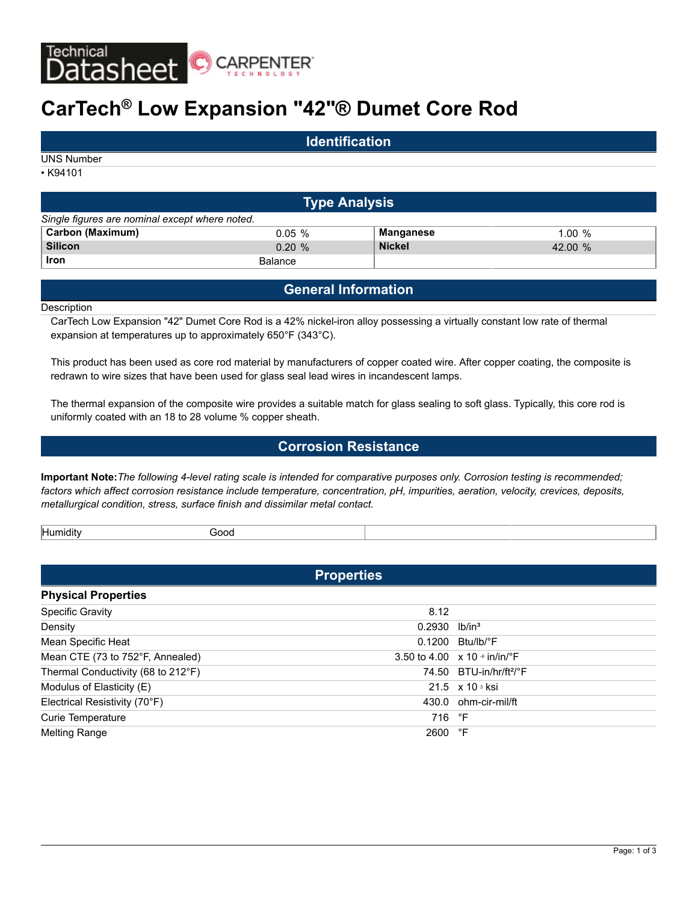

# **CarTech® Low Expansion "42"® Dumet Core Rod**

## **Identification**

UNS Number

• K94101

| <b>Type Analysis</b>                           |                |               |           |  |  |  |  |  |
|------------------------------------------------|----------------|---------------|-----------|--|--|--|--|--|
| Single figures are nominal except where noted. |                |               |           |  |  |  |  |  |
| Carbon (Maximum)                               | $0.05 \%$      | Manganese     | 1.00%     |  |  |  |  |  |
| <b>Silicon</b>                                 | $0.20 \%$      | <b>Nickel</b> | 42.00 $%$ |  |  |  |  |  |
| Iron                                           | <b>Balance</b> |               |           |  |  |  |  |  |

# **General Information**

**Description** 

CarTech Low Expansion "42" Dumet Core Rod is a 42% nickel-iron alloy possessing a virtually constant low rate of thermal expansion at temperatures up to approximately 650°F (343°C).

This product has been used as core rod material by manufacturers of copper coated wire. After copper coating, the composite is redrawn to wire sizes that have been used for glass seal lead wires in incandescent lamps.

The thermal expansion of the composite wire provides a suitable match for glass sealing to soft glass. Typically, this core rod is uniformly coated with an 18 to 28 volume % copper sheath.

## **Corrosion Resistance**

**Important Note:***The following 4-level rating scale is intended for comparative purposes only. Corrosion testing is recommended; factors which affect corrosion resistance include temperature, concentration, pH, impurities, aeration, velocity, crevices, deposits, metallurgical condition, stress, surface finish and dissimilar metal contact.*

Humidity Good

| <b>Properties</b>                  |        |                                                   |  |  |  |
|------------------------------------|--------|---------------------------------------------------|--|--|--|
| <b>Physical Properties</b>         |        |                                                   |  |  |  |
| <b>Specific Gravity</b>            | 8.12   |                                                   |  |  |  |
| Density                            | 0.2930 | $lb/in^3$                                         |  |  |  |
| Mean Specific Heat                 |        | $0.1200$ Btu/lb/ $\degree$ F                      |  |  |  |
| Mean CTE (73 to 752°F, Annealed)   |        | 3.50 to 4.00 $\times$ 10 $\cdot$ in/in/ $\cdot$ F |  |  |  |
| Thermal Conductivity (68 to 212°F) |        | 74.50 BTU-in/hr/ft <sup>2</sup> /°F               |  |  |  |
| Modulus of Elasticity (E)          |        | $21.5 \times 10^{3}$ ksi                          |  |  |  |
| Electrical Resistivity (70°F)      |        | 430.0 ohm-cir-mil/ft                              |  |  |  |
| Curie Temperature                  | 716 °F |                                                   |  |  |  |
| Melting Range                      | 2600   | °F                                                |  |  |  |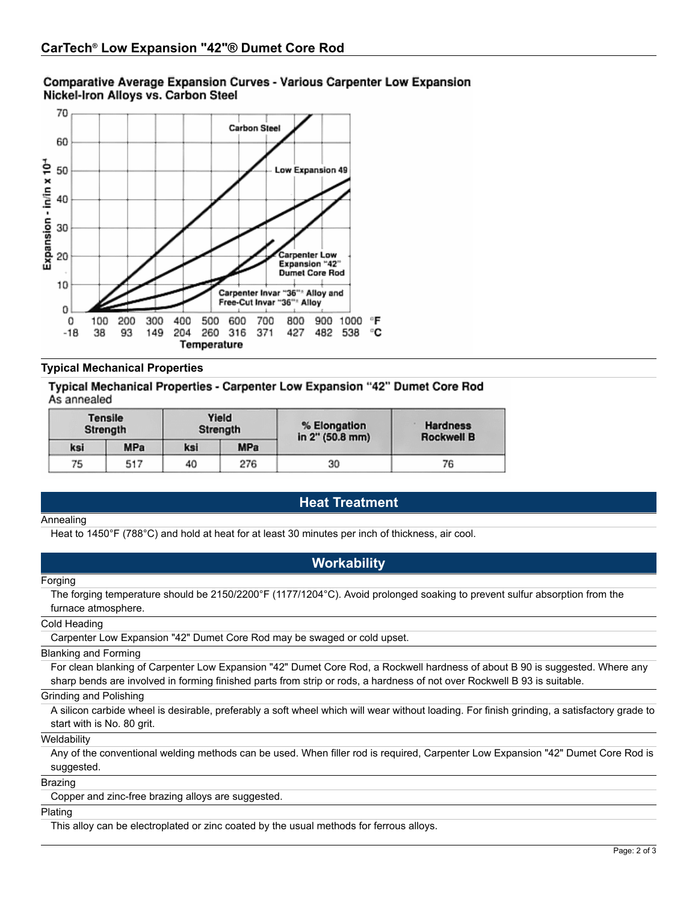## Comparative Average Expansion Curves - Various Carpenter Low Expansion Nickel-Iron Alloys vs. Carbon Steel



### **Typical Mechanical Properties**

Typical Mechanical Properties - Carpenter Low Expansion "42" Dumet Core Rod As annealed

|     | <b>Tensile</b><br>Strength |     | Yield<br>Strength | % Elongation<br>in 2" (50.8 mm) | <b>Hardness</b><br><b>Rockwell B</b> |
|-----|----------------------------|-----|-------------------|---------------------------------|--------------------------------------|
| ksi | <b>MPa</b>                 | ksi | <b>MPa</b>        |                                 |                                      |
| 75  | 517                        | 40  | 276               | 30                              | 76                                   |

# **Heat Treatment**

#### Annealing

Heat to 1450°F (788°C) and hold at heat for at least 30 minutes per inch of thickness, air cool.

## **Workability**

#### Forging

The forging temperature should be 2150/2200°F (1177/1204°C). Avoid prolonged soaking to prevent sulfur absorption from the furnace atmosphere.

#### Cold Heading

Carpenter Low Expansion "42" Dumet Core Rod may be swaged or cold upset.

#### Blanking and Forming

For clean blanking of Carpenter Low Expansion "42" Dumet Core Rod, a Rockwell hardness of about B 90 is suggested. Where any sharp bends are involved in forming finished parts from strip or rods, a hardness of not over Rockwell B 93 is suitable.

#### Grinding and Polishing

A silicon carbide wheel is desirable, preferably a soft wheel which will wear without loading. For finish grinding, a satisfactory grade to start with is No. 80 grit.

#### **Weldability**

Any of the conventional welding methods can be used. When filler rod is required, Carpenter Low Expansion "42" Dumet Core Rod is suggested.

#### **Brazing**

Copper and zinc-free brazing alloys are suggested.

#### Plating

This alloy can be electroplated or zinc coated by the usual methods for ferrous alloys.